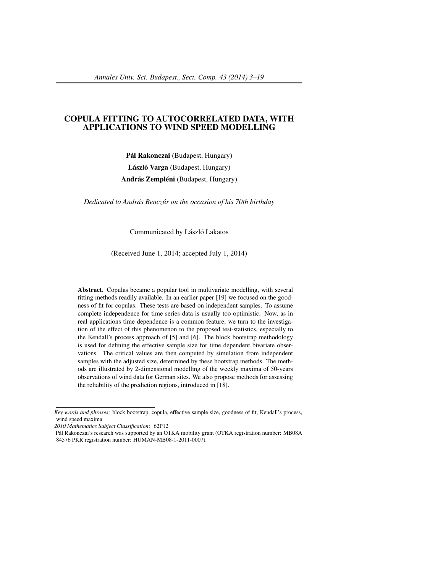# COPULA FITTING TO AUTOCORRELATED DATA, WITH APPLICATIONS TO WIND SPEED MODELLING

Pál Rakonczai (Budapest, Hungary) László Varga (Budapest, Hungary) András Zempléni (Budapest, Hungary)

*Dedicated to András Benczúr on the occasion of his 70th birthday*

Communicated by László Lakatos

(Received June 1, 2014; accepted July 1, 2014)

Abstract. Copulas became a popular tool in multivariate modelling, with several fitting methods readily available. In an earlier paper [19] we focused on the goodness of fit for copulas. These tests are based on independent samples. To assume complete independence for time series data is usually too optimistic. Now, as in real applications time dependence is a common feature, we turn to the investigation of the effect of this phenomenon to the proposed test-statistics, especially to the Kendall's process approach of [5] and [6]. The block bootstrap methodology is used for defining the effective sample size for time dependent bivariate observations. The critical values are then computed by simulation from independent samples with the adjusted size, determined by these bootstrap methods. The methods are illustrated by 2-dimensional modelling of the weekly maxima of 50-years observations of wind data for German sites. We also propose methods for assessing the reliability of the prediction regions, introduced in [18].

*Key words and phrases*: block bootstrap, copula, effective sample size, goodness of fit, Kendall's process, wind speed maxima

*<sup>2010</sup> Mathematics Subject Classification*: 62P12

Pál Rakonczai's research was supported by an OTKA mobility grant (OTKA registration number: MB08A 84576 PKR registration number: HUMAN-MB08-1-2011-0007).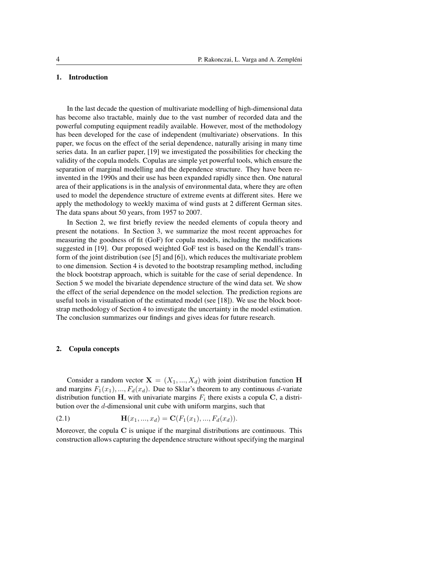## 1. Introduction

In the last decade the question of multivariate modelling of high-dimensional data has become also tractable, mainly due to the vast number of recorded data and the powerful computing equipment readily available. However, most of the methodology has been developed for the case of independent (multivariate) observations. In this paper, we focus on the effect of the serial dependence, naturally arising in many time series data. In an earlier paper, [19] we investigated the possibilities for checking the validity of the copula models. Copulas are simple yet powerful tools, which ensure the separation of marginal modelling and the dependence structure. They have been reinvented in the 1990s and their use has been expanded rapidly since then. One natural area of their applications is in the analysis of environmental data, where they are often used to model the dependence structure of extreme events at different sites. Here we apply the methodology to weekly maxima of wind gusts at 2 different German sites. The data spans about 50 years, from 1957 to 2007.

In Section 2, we first briefly review the needed elements of copula theory and present the notations. In Section 3, we summarize the most recent approaches for measuring the goodness of fit (GoF) for copula models, including the modifications suggested in [19]. Our proposed weighted GoF test is based on the Kendall's transform of the joint distribution (see [5] and [6]), which reduces the multivariate problem to one dimension. Section 4 is devoted to the bootstrap resampling method, including the block bootstrap approach, which is suitable for the case of serial dependence. In Section 5 we model the bivariate dependence structure of the wind data set. We show the effect of the serial dependence on the model selection. The prediction regions are useful tools in visualisation of the estimated model (see [18]). We use the block bootstrap methodology of Section 4 to investigate the uncertainty in the model estimation. The conclusion summarizes our findings and gives ideas for future research.

### 2. Copula concepts

Consider a random vector  $X = (X_1, ..., X_d)$  with joint distribution function H and margins  $F_1(x_1),..., F_d(x_d)$ . Due to Sklar's theorem to any continuous d-variate distribution function H, with univariate margins  $F_i$  there exists a copula C, a distribution over the d-dimensional unit cube with uniform margins, such that

(2.1) 
$$
\mathbf{H}(x_1, ..., x_d) = \mathbf{C}(F_1(x_1), ..., F_d(x_d)).
$$

Moreover, the copula  $\bf{C}$  is unique if the marginal distributions are continuous. This construction allows capturing the dependence structure without specifying the marginal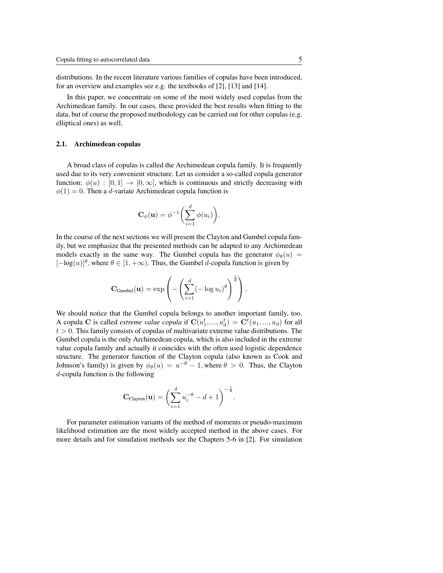distributions. In the recent literature various families of copulas have been introduced, for an overview and examples see e.g. the textbooks of [2], [13] and [14].

In this paper, we concentrate on some of the most widely used copulas from the Archimedean family. In our cases, these provided the best results when fitting to the data, but of course the proposed methodology can be carried out for other copulas (e.g. elliptical ones) as well.

#### 2.1. Archimedean copulas

A broad class of copulas is called the Archimedean copula family. It is frequently used due to its very convenient structure. Let us consider a so-called copula generator function:  $\phi(u) : [0,1] \rightarrow [0,\infty]$ , which is continuous and strictly decreasing with  $\phi(1) = 0$ . Then a *d*-variate Archimedean copula function is

$$
\mathbf{C}_{\phi}(\mathbf{u}) = \phi^{-1}\left(\sum_{i=1}^{d} \phi(u_i)\right)
$$

.

In the course of the next sections we will present the Clayton and Gumbel copula family, but we emphasize that the presented methods can be adapted to any Archimedean models exactly in the same way. The Gumbel copula has the generator  $\phi_{\theta}(u)$  =  $[-\log(u)]^{\theta}$ , where  $\theta \in [1, +\infty)$ . Thus, the Gumbel d-copula function is given by

$$
\mathbf{C}_{\text{Gumbel}}(\mathbf{u}) = \exp \left(-\left(\sum_{i=1}^d (-\log u_i)^{\theta}\right)^{\frac{1}{\theta}}\right).
$$

We should notice that the Gumbel copula belongs to another important family, too. A copula C is called *extreme value copula* if  $\mathbf{C}(u_1^t, ..., u_d^t) = \mathbf{C}^t(u_1, ..., u_d)$  for all  $t > 0$ . This family consists of copulas of multivariate extreme value distributions. The Gumbel copula is the only Archimedean copula, which is also included in the extreme value copula family and actually it coincides with the often used logistic dependence structure. The generator function of the Clayton copula (also known as Cook and Johnson's family) is given by  $\phi_{\theta}(u) = u^{-\theta} - 1$ , where  $\theta > 0$ . Thus, the Clayton d-copula function is the following

$$
\mathbf{C}_{\text{Clayton}}(\mathbf{u}) = \left(\sum_{i=1}^d u_i^{-\theta} - d + 1\right)^{-\frac{1}{\theta}}.
$$

For parameter estimation variants of the method of moments or pseudo-maximum likelihood estimation are the most widely accepted method in the above cases. For more details and for simulation methods see the Chapters 5-6 in [2]. For simulation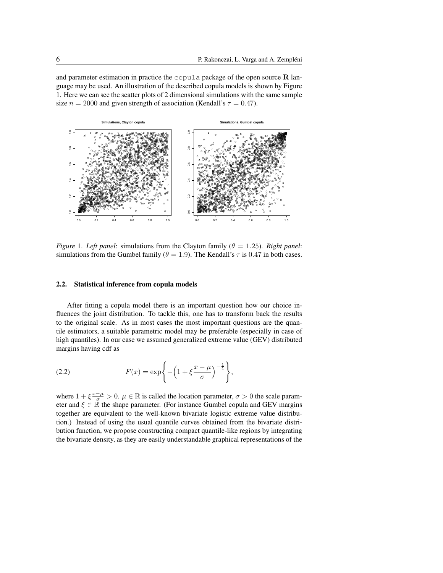and parameter estimation in practice the copula package of the open source  $R$  language may be used. An illustration of the described copula models is shown by Figure 1. Here we can see the scatter plots of 2 dimensional simulations with the same sample size  $n = 2000$  and given strength of association (Kendall's  $\tau = 0.47$ ).



*Figure 1. Left panel:* simulations from the Clayton family ( $\theta = 1.25$ ). *Right panel:* simulations from the Gumbel family ( $\theta = 1.9$ ). The Kendall's  $\tau$  is 0.47 in both cases.

#### $2.2.$ **Statistical inference from copula models**

After fitting a copula model there is an important question how our choice influences the joint distribution. To tackle this, one has to transform back the results to the original scale. As in most cases the most important questions are the quantile estimators, a suitable parametric model may be preferable (especially in case of high quantiles). In our case we assumed generalized extreme value (GEV) distributed margins having cdf as

(2.2) 
$$
F(x) = \exp\left\{-\left(1 + \xi \frac{x - \mu}{\sigma}\right)^{-\frac{1}{\xi}}\right\},\,
$$

where  $1 + \xi \frac{x-\mu}{\sigma} > 0$ .  $\mu \in \mathbb{R}$  is called the location parameter,  $\sigma > 0$  the scale parameter and  $\xi \in \mathbb{R}$  the shape parameter. (For instance Gumbel copula and GEV margins together are equivalent to the well-known bivariate logistic extreme value distribution.) Instead of using the usual quantile curves obtained from the bivariate distribution function, we propose constructing compact quantile-like regions by integrating the bivariate density, as they are easily understandable graphical representations of the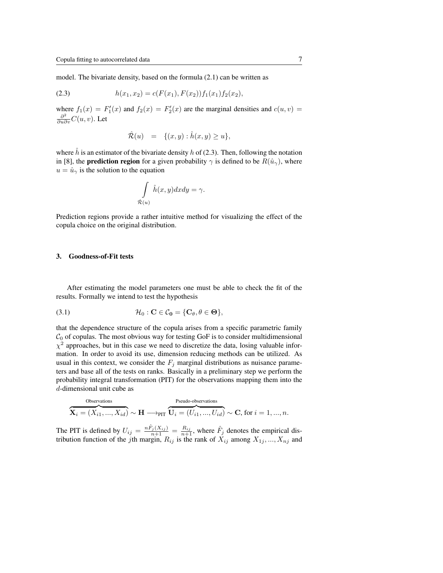model. The bivariate density, based on the formula (2.1) can be written as

$$
(2.3) \t\t\t h(x_1, x_2) = c(F(x_1), F(x_2))f_1(x_1)f_2(x_2),
$$

where  $f_1(x) = F'_1(x)$  and  $f_2(x) = F'_2(x)$  are the marginal densities and  $c(u, v) =$  $\frac{\partial^2}{\partial u \partial v} C(u,v)$ . Let

$$
\hat{\mathcal{R}}(u) = \{(x, y) : \hat{h}(x, y) \ge u\},\
$$

where h is an estimator of the bivariate density h of  $(2.3)$ . Then, following the notation in [8], the **prediction region** for a given probability  $\gamma$  is defined to be  $R(\hat{u}_{\gamma})$ , where  $u = \hat{u}_{\gamma}$  is the solution to the equation

$$
\int\limits_{\hat{\mathcal{R}}(u)}\hat{h}(x,y)dxdy = \gamma.
$$

Prediction regions provide a rather intuitive method for visualizing the effect of the copula choice on the original distribution.

## 3. Goodness-of-Fit tests

After estimating the model parameters one must be able to check the fit of the results. Formally we intend to test the hypothesis

(3.1) 
$$
\mathcal{H}_0: \mathbf{C} \in \mathcal{C}_0 = \{ \mathbf{C}_{\theta}, \theta \in \mathbf{\Theta} \},
$$

that the dependence structure of the copula arises from a specific parametric family  $C_0$  of copulas. The most obvious way for testing GoF is to consider multidimensional  $\chi^2$  approaches, but in this case we need to discretize the data, losing valuable information. In order to avoid its use, dimension reducing methods can be utilized. As usual in this context, we consider the  $F_j$  marginal distributions as nuisance parameters and base all of the tests on ranks. Basically in a preliminary step we perform the probability integral transformation (PIT) for the observations mapping them into the d-dimensional unit cube as

$$
\overbrace{\mathbf{X}_i = (X_{i1}, ..., X_{id})}^{\text{Observations}} \sim \mathbf{H} \longrightarrow_{\text{PIT}} \overbrace{\mathbf{U}_i = (U_{i1}, ..., U_{id})}^{\text{Pseudo-observations}} \sim \mathbf{C}, \text{ for } i = 1, ..., n.
$$

The PIT is defined by  $U_{ij} = \frac{n \hat{F}_j(X_{ij})}{n+1} = \frac{R_{ij}}{n+1}$ , where  $\hat{F}_j$  denotes the empirical distribution function of the *j*th margin,  $R_{ij}$  is the rank of  $X_{ij}$  among  $X_{1j}$ , ...,  $X_{nj}$  and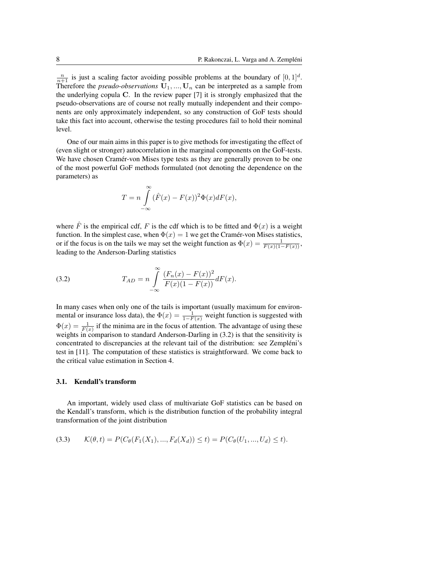$\frac{n}{n+1}$  is just a scaling factor avoiding possible problems at the boundary of  $[0, 1]^d$ . Therefore the *pseudo-observations*  $U_1, ..., U_n$  can be interpreted as a sample from the underlying copula C. In the review paper [7] it is strongly emphasized that the pseudo-observations are of course not really mutually independent and their components are only approximately independent, so any construction of GoF tests should take this fact into account, otherwise the testing procedures fail to hold their nominal level.

One of our main aims in this paper is to give methods for investigating the effect of (even slight or stronger) autocorrelation in the marginal components on the GoF-tests. We have chosen Cramér-von Mises type tests as they are generally proven to be one of the most powerful GoF methods formulated (not denoting the dependence on the parameters) as

$$
T = n \int_{-\infty}^{\infty} (\hat{F}(x) - F(x))^2 \Phi(x) dF(x),
$$

where  $\hat{F}$  is the empirical cdf, F is the cdf which is to be fitted and  $\Phi(x)$  is a weight function. In the simplest case, when  $\Phi(x) = 1$  we get the Cramér-von Mises statistics, or if the focus is on the tails we may set the weight function as  $\Phi(x) = \frac{1}{F(x)(1-F(x))}$ , leading to the Anderson-Darling statistics

(3.2) 
$$
T_{AD} = n \int_{-\infty}^{\infty} \frac{(F_n(x) - F(x))^2}{F(x)(1 - F(x))} dF(x).
$$

In many cases when only one of the tails is important (usually maximum for environmental or insurance loss data), the  $\Phi(x) = \frac{1}{1 - F(x)}$  weight function is suggested with  $\Phi(x) = \frac{1}{F(x)}$  if the minima are in the focus of attention. The advantage of using these weights in comparison to standard Anderson-Darling in (3.2) is that the sensitivity is concentrated to discrepancies at the relevant tail of the distribution: see Zempléni's test in [11]. The computation of these statistics is straightforward. We come back to the critical value estimation in Section 4.

## 3.1. Kendall's transform

An important, widely used class of multivariate GoF statistics can be based on the Kendall's transform, which is the distribution function of the probability integral transformation of the joint distribution

$$
(3.3) \qquad \mathcal{K}(\theta, t) = P(C_{\theta}(F_1(X_1), ..., F_d(X_d)) \le t) = P(C_{\theta}(U_1, ..., U_d) \le t).
$$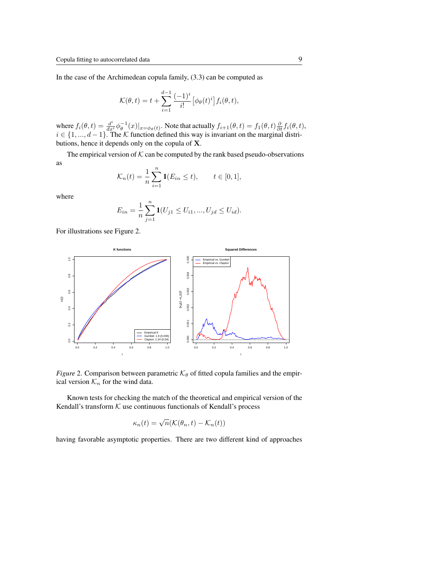In the case of the Archimedean copula family, (3.3) can be computed as

$$
\mathcal{K}(\theta, t) = t + \sum_{i=1}^{d-1} \frac{(-1)^i}{i!} \left[ \phi_\theta(t)^i \right] f_i(\theta, t),
$$

where  $f_i(\theta, t) = \frac{d^i}{dx^i} \phi_\theta^{-1}(x)|_{x = \phi_\theta(t)}$ . Note that actually  $f_{i+1}(\theta, t) = f_1(\theta, t) \frac{\partial}{\partial t} f_i(\theta, t)$ ,  $i \in \{1, ..., d-1\}$ . The K function defined this way is invariant on the marginal distributions, hence it depends only on the copula of X.

The empirical version of  $K$  can be computed by the rank based pseudo-observations as

$$
\mathcal{K}_n(t) = \frac{1}{n} \sum_{i=1}^n \mathbf{1}(E_{in} \le t), \qquad t \in [0, 1],
$$

where

$$
E_{in} = \frac{1}{n} \sum_{j=1}^{n} \mathbf{1}(U_{j1} \leq U_{i1}, ..., U_{jd} \leq U_{id}).
$$

For illustrations see Figure 2.



*Figure* 2. Comparison between parametric  $K_{\theta}$  of fitted copula families and the empirical version  $\mathcal{K}_n$  for the wind data.

Known tests for checking the match of the theoretical and empirical version of the Kendall's transform  $K$  use continuous functionals of Kendall's process

$$
\kappa_n(t) = \sqrt{n}(\mathcal{K}(\theta_n, t) - \mathcal{K}_n(t))
$$

having favorable asymptotic properties. There are two different kind of approaches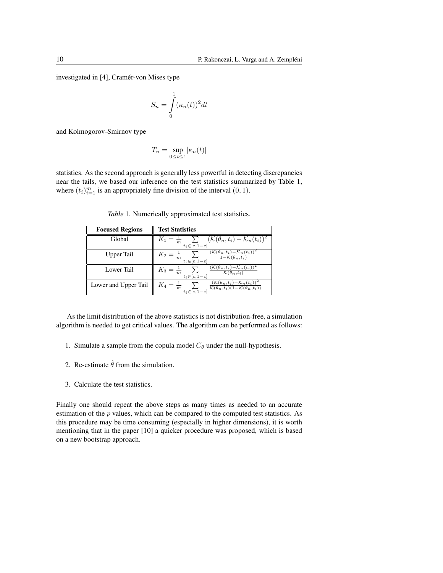investigated in [4], Cramér-von Mises type

$$
S_n = \int\limits_0^1 (\kappa_n(t))^2 dt
$$

and Kolmogorov-Smirnov type

$$
T_n = \sup_{0 \le t \le 1} |\kappa_n(t)|
$$

statistics. As the second approach is generally less powerful in detecting discrepancies near the tails, we based our inference on the test statistics summarized by Table 1, where  $(t_i)_{i=1}^m$  is an appropriately fine division of the interval  $(0, 1)$ .

*Table* 1. Numerically approximated test statistics.

| <b>Focused Regions</b> | <b>Test Statistics</b>                                                                                                                                                                        |
|------------------------|-----------------------------------------------------------------------------------------------------------------------------------------------------------------------------------------------|
| Global                 | $K_1 = \frac{1}{m}$ $\sum (\mathcal{K}(\theta_n, t_i) - \mathcal{K}_n(t_i))^2$<br>$t_i\!\in\!\overline{[\varepsilon, \!1\!-\!\varepsilon]}$                                                   |
| Upper Tail             | $\frac{(\mathcal{K}(\theta_n,t_i)-\mathcal{K}_n(t_i))^2}{1-\mathcal{K}(\theta_n,t_i)}$<br>$K_2 = \frac{1}{m}$ $\sum$<br>$t_i\!\in\!\overline{[\varepsilon, \!1\!-\!\varepsilon]}$             |
| Lower Tail             | $K_3 = \frac{1}{m} \sum \frac{(\mathcal{K}(\theta_n,t_i)-\mathcal{K}_n(t_i))^2}{\mathcal{K}(\theta_n,t_i)}$<br>$t_i \in [\varepsilon, 1-\varepsilon]$                                         |
| Lower and Upper Tail   | $K_4 = \frac{1}{m} \sum\limits_{t_i \in [\varepsilon, 1-\varepsilon]} \frac{(\mathcal{K}(\theta_n, t_i) - \mathcal{K}_n(t_i))^2}{\mathcal{K}(\theta_n, t_i)(1 - \mathcal{K}(\theta_n, t_i))}$ |

As the limit distribution of the above statistics is not distribution-free, a simulation algorithm is needed to get critical values. The algorithm can be performed as follows:

- 1. Simulate a sample from the copula model  $C_{\theta}$  under the null-hypothesis.
- 2. Re-estimate  $\hat{\theta}$  from the simulation.
- 3. Calculate the test statistics.

Finally one should repeat the above steps as many times as needed to an accurate estimation of the  $p$  values, which can be compared to the computed test statistics. As this procedure may be time consuming (especially in higher dimensions), it is worth mentioning that in the paper [10] a quicker procedure was proposed, which is based on a new bootstrap approach.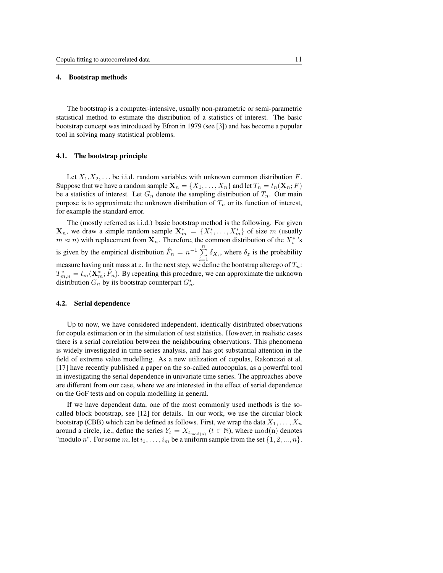#### 4. Bootstrap methods

The bootstrap is a computer-intensive, usually non-parametric or semi-parametric statistical method to estimate the distribution of a statistics of interest. The basic bootstrap concept was introduced by Efron in 1979 (see [3]) and has become a popular tool in solving many statistical problems.

#### 4.1. The bootstrap principle

Let  $X_1, X_2, \ldots$  be i.i.d. random variables with unknown common distribution F. Suppose that we have a random sample  $X_n = \{X_1, \ldots, X_n\}$  and let  $T_n = t_n(X_n; F)$ be a statistics of interest. Let  $G_n$  denote the sampling distribution of  $T_n$ . Our main purpose is to approximate the unknown distribution of  $T_n$  or its function of interest, for example the standard error.

The (mostly referred as i.i.d.) basic bootstrap method is the following. For given  $\mathbf{X}_n$ , we draw a simple random sample  $\mathbf{X}_m^* = \{X_1^*, \ldots, X_m^*\}$  of size m (usually  $m \approx n$ ) with replacement from  $\mathbf{X}_n$ . Therefore, the common distribution of the  $X_i^*$  's is given by the empirical distribution  $\hat{F}_n = n^{-1} \sum_{n=1}^n$  $\sum_{i=1} \delta_{X_i}$ , where  $\delta_z$  is the probability measure having unit mass at z. In the next step, we define the bootstrap alterego of  $T_n$ :  $T_{m,n}^* = t_m(\mathbf{X}_m^*, \hat{F}_n)$ . By repeating this procedure, we can approximate the unknown distribution  $G_n$  by its bootstrap counterpart  $G_n^*$ .

#### 4.2. Serial dependence

Up to now, we have considered independent, identically distributed observations for copula estimation or in the simulation of test statistics. However, in realistic cases there is a serial correlation between the neighbouring observations. This phenomena is widely investigated in time series analysis, and has got substantial attention in the field of extreme value modelling. As a new utilization of copulas, Rakonczai et al. [17] have recently published a paper on the so-called autocopulas, as a powerful tool in investigating the serial dependence in univariate time series. The approaches above are different from our case, where we are interested in the effect of serial dependence on the GoF tests and on copula modelling in general.

If we have dependent data, one of the most commonly used methods is the socalled block bootstrap, see [12] for details. In our work, we use the circular block bootstrap (CBB) which can be defined as follows. First, we wrap the data  $X_1, \ldots, X_n$ around a circle, i.e., define the series  $Y_t = X_{t_{\text{mod}(n)}}$  ( $t \in \mathbb{N}$ ), where mod(n) denotes "modulo n". For some m, let  $i_1, \ldots, i_m$  be a uniform sample from the set  $\{1, 2, \ldots, n\}$ .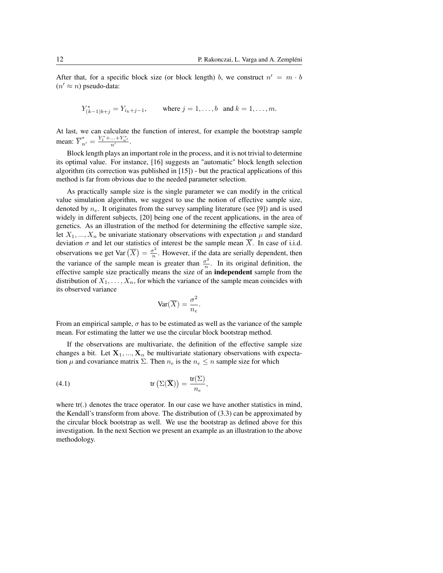After that, for a specific block size (or block length) b, we construct  $n' = m \cdot b$  $(n' \approx n)$  pseudo-data:

$$
Y_{(k-1)b+j}^* = Y_{i_k+j-1}
$$
, where  $j = 1, ..., b$  and  $k = 1, ..., m$ .

At last, we can calculate the function of interest, for example the bootstrap sample mean:  $\overline{Y}_{n'}^* = \frac{Y_1^* + ... + Y_{n'}^*}{n'}$ .

Block length plays an important role in the process, and it is not trivial to determine its optimal value. For instance, [16] suggests an "automatic" block length selection algorithm (its correction was published in [15]) - but the practical applications of this method is far from obvious due to the needed parameter selection.

As practically sample size is the single parameter we can modify in the critical value simulation algorithm, we suggest to use the notion of effective sample size, denoted by  $n_e$ . It originates from the survey sampling literature (see [9]) and is used widely in different subjects, [20] being one of the recent applications, in the area of genetics. As an illustration of the method for determining the effective sample size, let  $X_1, ..., X_n$  be univariate stationary observations with expectation  $\mu$  and standard deviation  $\sigma$  and let our statistics of interest be the sample mean X. In case of i.i.d. observations we get Var  $\left(\overline{X}\right) = \frac{\sigma^2}{n}$  $\frac{\tau^2}{n}$ . However, if the data are serially dependent, then the variance of the sample mean is greater than  $\frac{\sigma^2}{n}$  $\frac{\sigma^2}{n}$ . In its original definition, the effective sample size practically means the size of an independent sample from the distribution of  $X_1, \ldots, X_n$ , for which the variance of the sample mean coincides with its observed variance

$$
\text{Var}(\overline{X}) = \frac{\sigma^2}{n_e}.
$$

From an empirical sample,  $\sigma$  has to be estimated as well as the variance of the sample mean. For estimating the latter we use the circular block bootstrap method.

If the observations are multivariate, the definition of the effective sample size changes a bit. Let  $X_1, ..., X_n$  be multivariate stationary observations with expectation  $\mu$  and covariance matrix  $\Sigma$ . Then  $n_e$  is the  $n_e \leq n$  sample size for which

(4.1) 
$$
\operatorname{tr}\left(\Sigma(\overline{\mathbf{X}})\right) = \frac{\operatorname{tr}(\Sigma)}{n_e},
$$

where tr(.) denotes the trace operator. In our case we have another statistics in mind, the Kendall's transform from above. The distribution of (3.3) can be approximated by the circular block bootstrap as well. We use the bootstrap as defined above for this investigation. In the next Section we present an example as an illustration to the above methodology.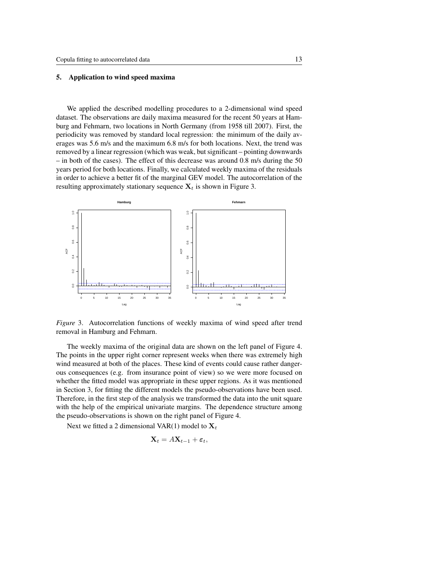#### 5. Application to wind speed maxima

We applied the described modelling procedures to a 2-dimensional wind speed dataset. The observations are daily maxima measured for the recent 50 years at Hamburg and Fehmarn, two locations in North Germany (from 1958 till 2007). First, the periodicity was removed by standard local regression: the minimum of the daily averages was 5.6 m/s and the maximum 6.8 m/s for both locations. Next, the trend was removed by a linear regression (which was weak, but significant – pointing downwards – in both of the cases). The effect of this decrease was around 0.8 m/s during the 50 years period for both locations. Finally, we calculated weekly maxima of the residuals in order to achieve a better fit of the marginal GEV model. The autocorrelation of the resulting approximately stationary sequence  $X_t$  is shown in Figure 3.



*Figure* 3. Autocorrelation functions of weekly maxima of wind speed after trend removal in Hamburg and Fehmarn.

The weekly maxima of the original data are shown on the left panel of Figure 4. The points in the upper right corner represent weeks when there was extremely high wind measured at both of the places. These kind of events could cause rather dangerous consequences (e.g. from insurance point of view) so we were more focused on whether the fitted model was appropriate in these upper regions. As it was mentioned in Section 3, for fitting the different models the pseudo-observations have been used. Therefore, in the first step of the analysis we transformed the data into the unit square with the help of the empirical univariate margins. The dependence structure among the pseudo-observations is shown on the right panel of Figure 4.

Next we fitted a 2 dimensional VAR(1) model to  $X_t$ 

$$
\mathbf{X}_t = A\mathbf{X}_{t-1} + \boldsymbol{\varepsilon}_t,
$$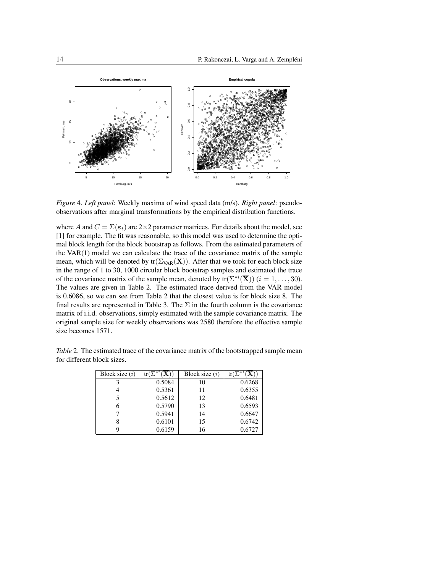

Figure 4. Left panel: Weekly maxima of wind speed data (m/s). Right panel: pseudoobservations after marginal transformations by the empirical distribution functions.

where A and  $C = \Sigma(\varepsilon_t)$  are 2×2 parameter matrices. For details about the model, see [1] for example. The fit was reasonable, so this model was used to determine the optimal block length for the block bootstrap as follows. From the estimated parameters of the  $VAR(1)$  model we can calculate the trace of the covariance matrix of the sample mean, which will be denoted by  $tr(\Sigma_{VAR}(\overline{\mathbf{X}}))$ . After that we took for each block size in the range of 1 to 30, 1000 circular block bootstrap samples and estimated the trace of the covariance matrix of the sample mean, denoted by  $tr(\Sigma^{*i}(\overline{X}))$   $(i = 1, ..., 30)$ . The values are given in Table 2. The estimated trace derived from the VAR model is 0.6086, so we can see from Table 2 that the closest value is for block size 8. The final results are represented in Table 3. The  $\Sigma$  in the fourth column is the covariance matrix of i.i.d. observations, simply estimated with the sample covariance matrix. The original sample size for weekly observations was 2580 therefore the effective sample size becomes 1571.

Table 2. The estimated trace of the covariance matrix of the bootstrapped sample mean for different block sizes.

| Block size $(i)$ | $tr(\Sigma^{*i}(\overline{\mathbf{X}}))$ | Block size $(i)$ | $tr(\Sigma^{*i}(\overline{\mathbf{X}}))$ |
|------------------|------------------------------------------|------------------|------------------------------------------|
|                  | 0.5084                                   | 10               | 0.6268                                   |
|                  | 0.5361                                   | 11               | 0.6355                                   |
|                  | 0.5612                                   | 12               | 0.6481                                   |
| 6                | 0.5790                                   | 13               | 0.6593                                   |
|                  | 0.5941                                   | 14               | 0.6647                                   |
|                  | 0.6101                                   | 15               | 0.6742                                   |
|                  | 0.6159                                   | 16               | 0.6727                                   |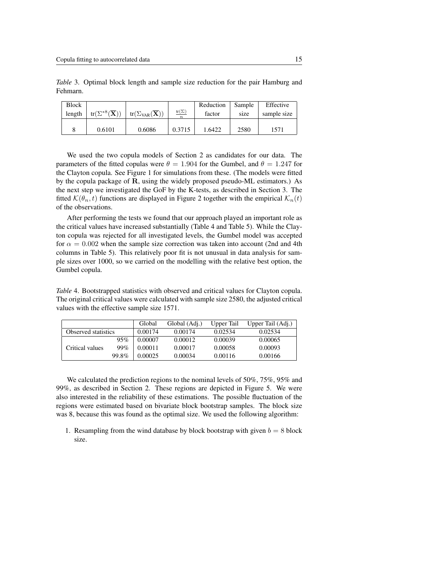*Table* 3. Optimal block length and sample size reduction for the pair Hamburg and Fehmarn.

| <b>Block</b> |                                          |                                           |                                  | Reduction | Sample | Effective   |
|--------------|------------------------------------------|-------------------------------------------|----------------------------------|-----------|--------|-------------|
| length       | $tr(\Sigma^{*8}(\overline{\mathbf{X}}))$ | $tr(\Sigma_{VAR}(\overline{\mathbf{X}}))$ | $tr(\Sigma)$<br>$\boldsymbol{n}$ | factor    | size   | sample size |
|              |                                          |                                           |                                  |           |        |             |
|              | 0.6101                                   | 0.6086                                    | 0.3715                           | 1.6422    | 2580   | 1571        |

We used the two copula models of Section 2 as candidates for our data. The parameters of the fitted copulas were  $\theta = 1.904$  for the Gumbel, and  $\theta = 1.247$  for the Clayton copula. See Figure 1 for simulations from these. (The models were fitted by the copula package of R, using the widely proposed pseudo-ML estimators.) As the next step we investigated the GoF by the K-tests, as described in Section 3. The fitted  $\mathcal{K}(\theta_n, t)$  functions are displayed in Figure 2 together with the empirical  $\mathcal{K}_n(t)$ of the observations.

After performing the tests we found that our approach played an important role as the critical values have increased substantially (Table 4 and Table 5). While the Clayton copula was rejected for all investigated levels, the Gumbel model was accepted for  $\alpha = 0.002$  when the sample size correction was taken into account (2nd and 4th) columns in Table 5). This relatively poor fit is not unusual in data analysis for sample sizes over 1000, so we carried on the modelling with the relative best option, the Gumbel copula.

*Table* 4. Bootstrapped statistics with observed and critical values for Clayton copula. The original critical values were calculated with sample size 2580, the adjusted critical values with the effective sample size 1571.

|                     |       | Global  | Global (Adj.) | Upper Tail | Upper Tail (Adj.) |
|---------------------|-------|---------|---------------|------------|-------------------|
| Observed statistics |       | 0.00174 | 0.00174       | 0.02534    | 0.02534           |
|                     | 95%   | 0.00007 | 0.00012       | 0.00039    | 0.00065           |
| Critical values     | 99%   | 0.00011 | 0.00017       | 0.00058    | 0.00093           |
|                     | 99.8% | 0.00025 | 0.00034       | 0.00116    | 0.00166           |

We calculated the prediction regions to the nominal levels of 50%, 75%, 95% and 99%, as described in Section 2. These regions are depicted in Figure 5. We were also interested in the reliability of these estimations. The possible fluctuation of the regions were estimated based on bivariate block bootstrap samples. The block size was 8, because this was found as the optimal size. We used the following algorithm:

1. Resampling from the wind database by block bootstrap with given  $b = 8$  block size.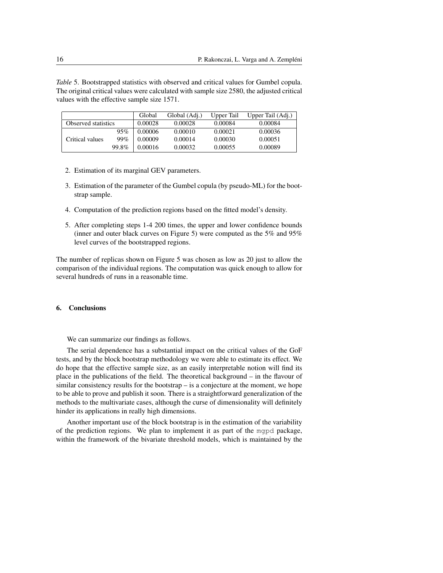*Table* 5. Bootstrapped statistics with observed and critical values for Gumbel copula. The original critical values were calculated with sample size 2580, the adjusted critical values with the effective sample size 1571.

|                     |       | Global  | Global (Adj.) | Upper Tail | Upper Tail (Adj.) |
|---------------------|-------|---------|---------------|------------|-------------------|
| Observed statistics |       | 0.00028 | 0.00028       | 0.00084    | 0.00084           |
|                     | 95%   | 0.00006 | 0.00010       | 0.00021    | 0.00036           |
| Critical values     | 99%   | 0.00009 | 0.00014       | 0.00030    | 0.00051           |
|                     | 99.8% | 0.00016 | 0.00032       | 0.00055    | 0.00089           |

- 2. Estimation of its marginal GEV parameters.
- 3. Estimation of the parameter of the Gumbel copula (by pseudo-ML) for the bootstrap sample.
- 4. Computation of the prediction regions based on the fitted model's density.
- 5. After completing steps 1-4 200 times, the upper and lower confidence bounds (inner and outer black curves on Figure 5) were computed as the 5% and 95% level curves of the bootstrapped regions.

The number of replicas shown on Figure 5 was chosen as low as 20 just to allow the comparison of the individual regions. The computation was quick enough to allow for several hundreds of runs in a reasonable time.

## 6. Conclusions

We can summarize our findings as follows.

The serial dependence has a substantial impact on the critical values of the GoF tests, and by the block bootstrap methodology we were able to estimate its effect. We do hope that the effective sample size, as an easily interpretable notion will find its place in the publications of the field. The theoretical background – in the flavour of similar consistency results for the bootstrap – is a conjecture at the moment, we hope to be able to prove and publish it soon. There is a straightforward generalization of the methods to the multivariate cases, although the curse of dimensionality will definitely hinder its applications in really high dimensions.

Another important use of the block bootstrap is in the estimation of the variability of the prediction regions. We plan to implement it as part of the mgpd package, within the framework of the bivariate threshold models, which is maintained by the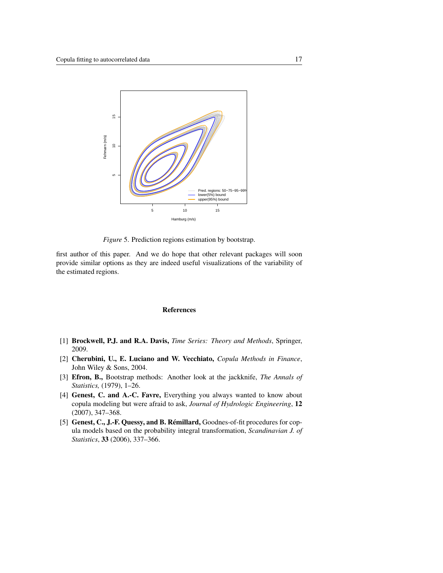

*Figure* 5. Prediction regions estimation by bootstrap.

first author of this paper. And we do hope that other relevant packages will soon provide similar options as they are indeed useful visualizations of the variability of the estimated regions.

## References

- [1] Brockwell, P.J. and R.A. Davis, *Time Series: Theory and Methods*, Springer, 2009.
- [2] Cherubini, U., E. Luciano and W. Vecchiato, *Copula Methods in Finance*, John Wiley & Sons, 2004.
- [3] Efron, B., Bootstrap methods: Another look at the jackknife, *The Annals of Statistics,* (1979), 1–26.
- [4] Genest, C. and A.-C. Favre, Everything you always wanted to know about copula modeling but were afraid to ask, *Journal of Hydrologic Engineering*, 12 (2007), 347–368.
- [5] Genest, C., J.-F. Quessy, and B. Rémillard, Goodnes-of-fit procedures for copula models based on the probability integral transformation, *Scandinavian J. of Statistics*, 33 (2006), 337–366.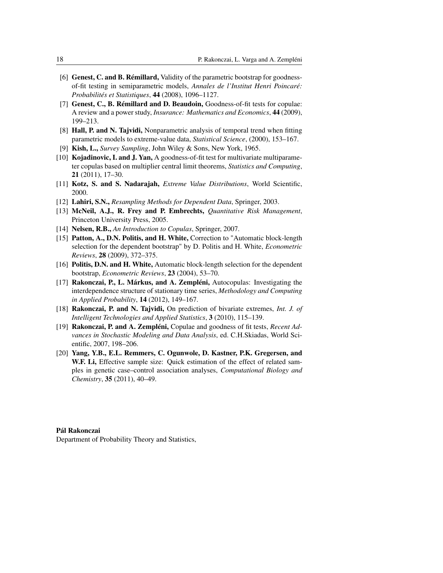- [6] Genest, C. and B. Rémillard, Validity of the parametric bootstrap for goodnessof-fit testing in semiparametric models, *Annales de l'Institut Henri Poincaré: Probabilités et Statistiques*, 44 (2008), 1096–1127.
- [7] Genest, C., B. Rémillard and D. Beaudoin, Goodness-of-fit tests for copulae: A review and a power study, *Insurance: Mathematics and Economics*, 44 (2009), 199–213.
- [8] Hall, P. and N. Tajvidi, Nonparametric analysis of temporal trend when fitting parametric models to extreme-value data, *Statistical Science*, (2000), 153–167.
- [9] Kish, L., *Survey Sampling*, John Wiley & Sons, New York, 1965.
- [10] **Kojadinovic, I. and J. Yan,** A goodness-of-fit test for multivariate multiparameter copulas based on multiplier central limit theorems, *Statistics and Computing*, 21 (2011), 17–30.
- [11] Kotz, S. and S. Nadarajah, *Extreme Value Distributions*, World Scientific, 2000.
- [12] Lahiri, S.N., *Resampling Methods for Dependent Data*, Springer, 2003.
- [13] McNeil, A.J., R. Frey and P. Embrechts, *Quantitative Risk Management*, Princeton University Press, 2005.
- [14] Nelsen, R.B., *An Introduction to Copulas*, Springer, 2007.
- [15] Patton, A., D.N. Politis, and H. White, Correction to "Automatic block-length" selection for the dependent bootstrap" by D. Politis and H. White, *Econometric Reviews*, 28 (2009), 372–375.
- [16] Politis, D.N. and H. White, Automatic block-length selection for the dependent bootstrap, *Econometric Reviews*, 23 (2004), 53–70.
- [17] Rakonczai, P., L. Márkus, and A. Zempléni, Autocopulas: Investigating the interdependence structure of stationary time series, *Methodology and Computing in Applied Probability*, 14 (2012), 149–167.
- [18] Rakonczai, P. and N. Tajvidi, On prediction of bivariate extremes, *Int. J. of Intelligent Technologies and Applied Statistics*, 3 (2010), 115–139.
- [19] Rakonczai, P. and A. Zempléni, Copulae and goodness of fit tests, *Recent Advances in Stochastic Modeling and Data Analysis*, ed. C.H.Skiadas, World Scientific, 2007, 198–206.
- [20] Yang, Y.B., E.L. Remmers, C. Ogunwole, D. Kastner, P.K. Gregersen, and W.F. Li, Effective sample size: Quick estimation of the effect of related samples in genetic case–control association analyses, *Computational Biology and Chemistry*, 35 (2011), 40–49.

## Pál Rakonczai

Department of Probability Theory and Statistics,